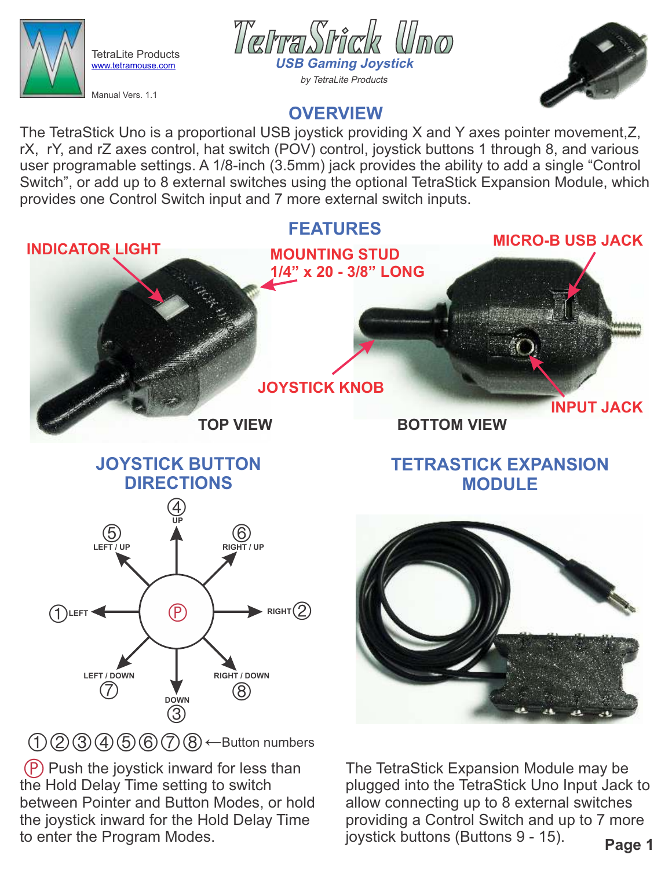

TetraLite Products [www.tetramouse.com](http://www.tetramouse.com)

Manual Vers. 1.1





# **OVERVIEW**

The TetraStick Uno is a proportional USB joystick providing X and Y axes pointer movement,Z, rX, rY, and rZ axes control, hat switch (POV) control, joystick buttons 1 through 8, and various user programable settings. A 1/8-inch (3.5mm) jack provides the ability to add a single "Control Switch", or add up to 8 external switches using the optional TetraStick Expansion Module, which provides one Control Switch input and 7 more external switch inputs.



(P) Push the joystick inward for less than the Hold Delay Time setting to switch between Pointer and Button Modes, or hold the joystick inward for the Hold Delay Time to enter the Program Modes.

**Page 1** The TetraStick Expansion Module may be plugged into the TetraStick Uno Input Jack to allow connecting up to 8 external switches providing a Control Switch and up to 7 more joystick buttons (Buttons 9 - 15).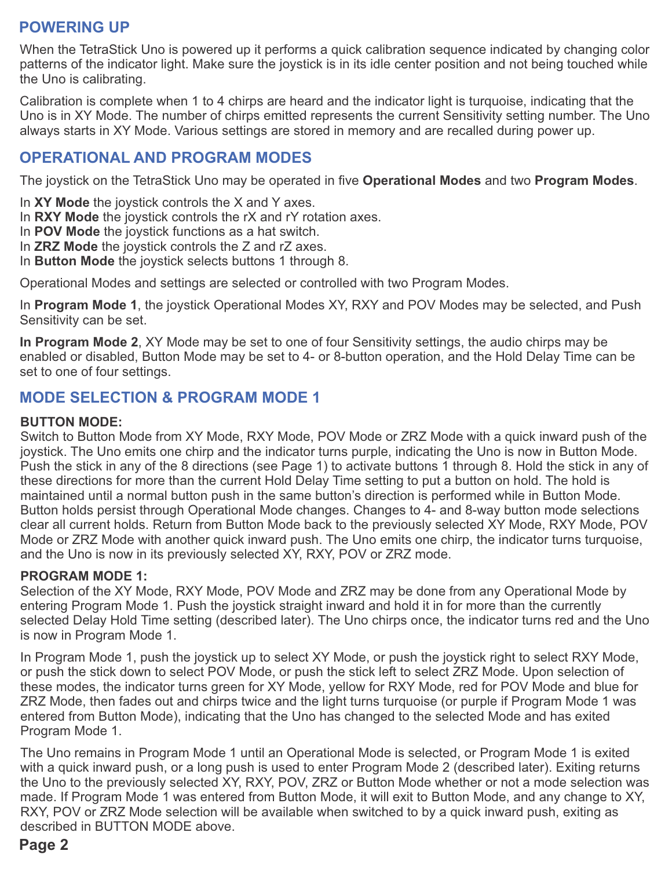## **POWERING UP**

When the TetraStick Uno is powered up it performs a quick calibration sequence indicated by changing color patterns of the indicator light. Make sure the joystick is in its idle center position and not being touched while the Uno is calibrating.

Calibration is complete when 1 to 4 chirps are heard and the indicator light is turquoise, indicating that the Uno is in XY Mode. The number of chirps emitted represents the current Sensitivity setting number. The Uno always starts in XY Mode. Various settings are stored in memory and are recalled during power up.

## **OPERATIONAL AND PROGRAM MODES**

The joystick on the TetraStick Uno may be operated in five **Operational Modes** and two **Program Modes**.

- In **XY Mode** the joystick controls the X and Y axes.
- In **RXY Mode** the joystick controls the rX and rY rotation axes.
- In **POV Mode** the joystick functions as a hat switch.
- In **ZRZ Mode** the joystick controls the Z and rZ axes.
- In **Button Mode** the joystick selects buttons 1 through 8.

Operational Modes and settings are selected or controlled with two Program Modes.

In **Program Mode 1**, the joystick Operational Modes XY, RXY and POV Modes may be selected, and Push Sensitivity can be set.

**In Program Mode 2**, XY Mode may be set to one of four Sensitivity settings, the audio chirps may be enabled or disabled, Button Mode may be set to 4- or 8-button operation, and the Hold Delay Time can be set to one of four settings.

### **MODE SELECTION & PROGRAM MODE 1**

#### **BUTTON MODE:**

Switch to Button Mode from XY Mode, RXY Mode, POV Mode or ZRZ Mode with a quick inward push of the joystick. The Uno emits one chirp and the indicator turns purple, indicating the Uno is now in Button Mode. Push the stick in any of the 8 directions (see Page 1) to activate buttons 1 through 8. Hold the stick in any of these directions for more than the current Hold Delay Time setting to put a button on hold. The hold is maintained until a normal button push in the same button's direction is performed while in Button Mode. Button holds persist through Operational Mode changes. Changes to 4- and 8-way button mode selections clear all current holds. Return from Button Mode back to the previously selected XY Mode, RXY Mode, POV Mode or ZRZ Mode with another quick inward push. The Uno emits one chirp, the indicator turns turquoise, and the Uno is now in its previously selected XY, RXY, POV or ZRZ mode.

#### **PROGRAM MODE 1:**

Selection of the XY Mode, RXY Mode, POV Mode and ZRZ may be done from any Operational Mode by entering Program Mode 1. Push the joystick straight inward and hold it in for more than the currently selected Delay Hold Time setting (described later). The Uno chirps once, the indicator turns red and the Uno is now in Program Mode 1.

In Program Mode 1, push the joystick up to select XY Mode, or push the joystick right to select RXY Mode, or push the stick down to select POV Mode, or push the stick left to select ZRZ Mode. Upon selection of these modes, the indicator turns green for XY Mode, yellow for RXY Mode, red for POV Mode and blue for ZRZ Mode, then fades out and chirps twice and the light turns turquoise (or purple if Program Mode 1 was entered from Button Mode), indicating that the Uno has changed to the selected Mode and has exited Program Mode 1.

The Uno remains in Program Mode 1 until an Operational Mode is selected, or Program Mode 1 is exited with a quick inward push, or a long push is used to enter Program Mode 2 (described later). Exiting returns the Uno to the previously selected XY, RXY, POV, ZRZ or Button Mode whether or not a mode selection was made. If Program Mode 1 was entered from Button Mode, it will exit to Button Mode, and any change to XY, RXY, POV or ZRZ Mode selection will be available when switched to by a quick inward push, exiting as described in BUTTON MODE above.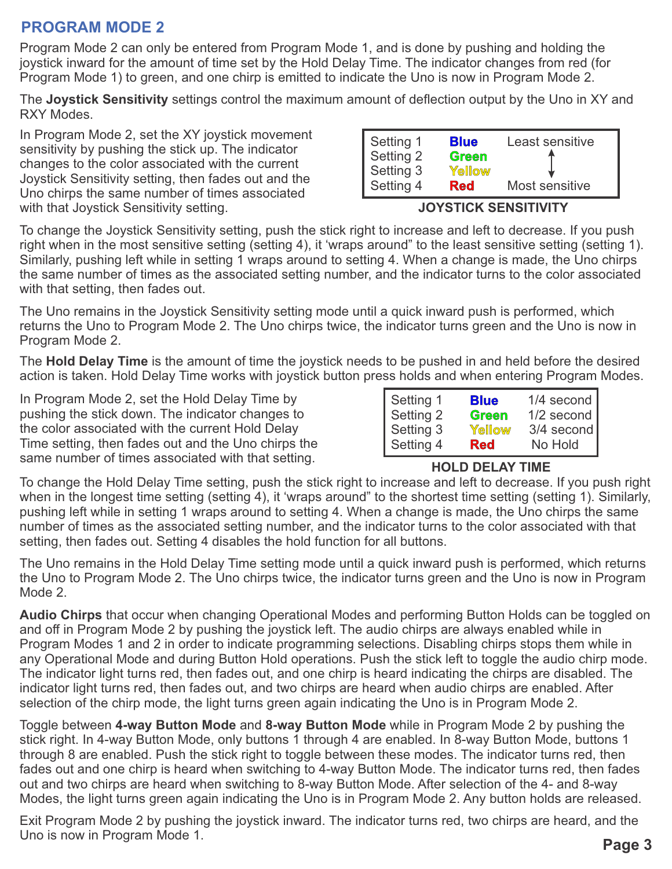## **PROGRAM MODE 2**

Program Mode 2 can only be entered from Program Mode 1, and is done by pushing and holding the joystick inward for the amount of time set by the Hold Delay Time. The indicator changes from red (for Program Mode 1) to green, and one chirp is emitted to indicate the Uno is now in Program Mode 2.

The **Joystick Sensitivity** settings control the maximum amount of deflection output by the Uno in XY and RXY Modes.

In Program Mode 2, set the XY joystick movement sensitivity by pushing the stick up. The indicator changes to the color associated with the current Joystick Sensitivity setting, then fades out and the Uno chirps the same number of times associated with that Joystick Sensitivity setting.

|                                                  | <b>Blue</b> | Least sensitive |
|--------------------------------------------------|-------------|-----------------|
|                                                  | Green       |                 |
|                                                  | Yellow      |                 |
| Setting 1<br>Setting 2<br>Setting 3<br>Setting 4 | <b>Red</b>  | Most sensitive  |

#### **JOYSTICK SENSITIVITY**

To change the Joystick Sensitivity setting, push the stick right to increase and left to decrease. If you push right when in the most sensitive setting (setting 4), it 'wraps around" to the least sensitive setting (setting 1). Similarly, pushing left while in setting 1 wraps around to setting 4. When a change is made, the Uno chirps the same number of times as the associated setting number, and the indicator turns to the color associated with that setting, then fades out.

The Uno remains in the Joystick Sensitivity setting mode until a quick inward push is performed, which returns the Uno to Program Mode 2. The Uno chirps twice, the indicator turns green and the Uno is now in Program Mode 2.

The **Hold Delay Time** is the amount of time the joystick needs to be pushed in and held before the desired action is taken. Hold Delay Time works with joystick button press holds and when entering Program Modes.

In Program Mode 2, set the Hold Delay Time by pushing the stick down. The indicator changes to the color associated with the current Hold Delay Time setting, then fades out and the Uno chirps the same number of times associated with that setting.

| Setting 1 | <b>Blue</b> | 1/4 second |
|-----------|-------------|------------|
| Setting 2 | Green       | 1/2 second |
| Setting 3 | Yellow      | 3/4 second |
| Setting 4 | <b>Red</b>  | No Hold    |

#### **HOLD DELAY TIME**

To change the Hold Delay Time setting, push the stick right to increase and left to decrease. If you push right when in the longest time setting (setting 4), it 'wraps around" to the shortest time setting (setting 1). Similarly, pushing left while in setting 1 wraps around to setting 4. When a change is made, the Uno chirps the same number of times as the associated setting number, and the indicator turns to the color associated with that setting, then fades out. Setting 4 disables the hold function for all buttons.

The Uno remains in the Hold Delay Time setting mode until a quick inward push is performed, which returns the Uno to Program Mode 2. The Uno chirps twice, the indicator turns green and the Uno is now in Program Mode 2.

**Audio Chirps** that occur when changing Operational Modes and performing Button Holds can be toggled on and off in Program Mode 2 by pushing the joystick left. The audio chirps are always enabled while in Program Modes 1 and 2 in order to indicate programming selections. Disabling chirps stops them while in any Operational Mode and during Button Hold operations. Push the stick left to toggle the audio chirp mode. The indicator light turns red, then fades out, and one chirp is heard indicating the chirps are disabled. The indicator light turns red, then fades out, and two chirps are heard when audio chirps are enabled. After selection of the chirp mode, the light turns green again indicating the Uno is in Program Mode 2.

Toggle between **4-way Button Mode** and **8-way Button Mode** while in Program Mode 2 by pushing the stick right. In 4-way Button Mode, only buttons 1 through 4 are enabled. In 8-way Button Mode, buttons 1 through 8 are enabled. Push the stick right to toggle between these modes. The indicator turns red, then fades out and one chirp is heard when switching to 4-way Button Mode. The indicator turns red, then fades out and two chirps are heard when switching to 8-way Button Mode. After selection of the 4- and 8-way Modes, the light turns green again indicating the Uno is in Program Mode 2. Any button holds are released.

Exit Program Mode 2 by pushing the joystick inward. The indicator turns red, two chirps are heard, and the Uno is now in Program Mode 1.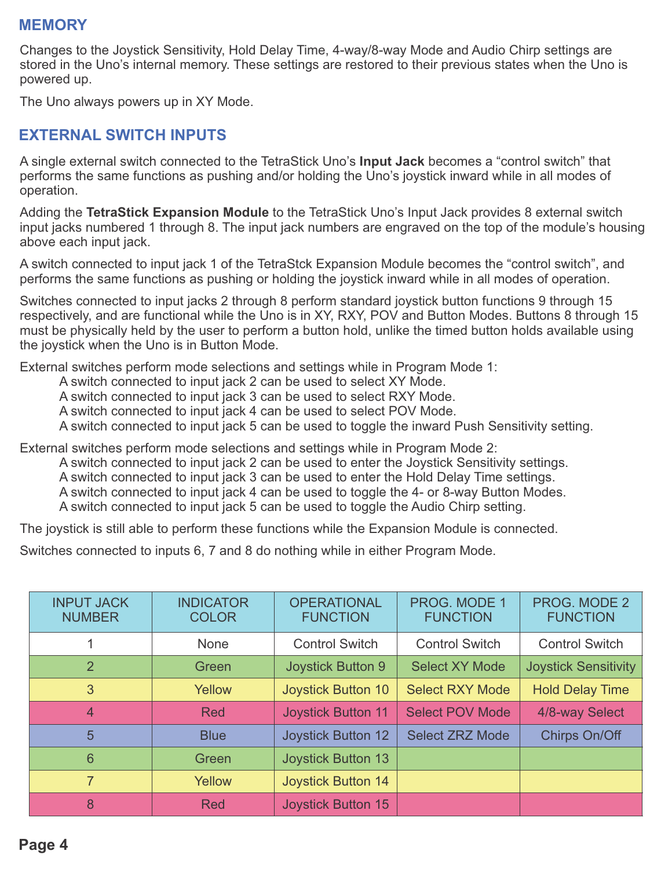### **MEMORY**

Changes to the Joystick Sensitivity, Hold Delay Time, 4-way/8-way Mode and Audio Chirp settings are stored in the Uno's internal memory. These settings are restored to their previous states when the Uno is powered up.

The Uno always powers up in XY Mode.

### **EXTERNAL SWITCH INPUTS**

A single external switch connected to the TetraStick Uno's **Input Jack** becomes a "control switch" that performs the same functions as pushing and/or holding the Uno's joystick inward while in all modes of operation.

Adding the **TetraStick Expansion Module** to the TetraStick Uno's Input Jack provides 8 external switch input jacks numbered 1 through 8. The input jack numbers are engraved on the top of the module's housing above each input jack.

A switch connected to input jack 1 of the TetraStck Expansion Module becomes the "control switch", and performs the same functions as pushing or holding the joystick inward while in all modes of operation.

Switches connected to input jacks 2 through 8 perform standard joystick button functions 9 through 15 respectively, and are functional while the Uno is in XY, RXY, POV and Button Modes. Buttons 8 through 15 must be physically held by the user to perform a button hold, unlike the timed button holds available using the joystick when the Uno is in Button Mode.

External switches perform mode selections and settings while in Program Mode 1:

A switch connected to input jack 2 can be used to select XY Mode.

A switch connected to input jack 3 can be used to select RXY Mode.

A switch connected to input jack 4 can be used to select POV Mode.

A switch connected to input jack 5 can be used to toggle the inward Push Sensitivity setting.

External switches perform mode selections and settings while in Program Mode 2:

A switch connected to input jack 2 can be used to enter the Joystick Sensitivity settings.

A switch connected to input jack 3 can be used to enter the Hold Delay Time settings.

A switch connected to input jack 4 can be used to toggle the 4- or 8-way Button Modes.

A switch connected to input jack 5 can be used to toggle the Audio Chirp setting.

The joystick is still able to perform these functions while the Expansion Module is connected.

Switches connected to inputs 6, 7 and 8 do nothing while in either Program Mode.

| <b>INPUT JACK</b><br><b>NUMBER</b> | <b>INDICATOR</b><br><b>COLOR</b> | <b>OPERATIONAL</b><br><b>FUNCTION</b> | <b>PROG. MODE 1</b><br><b>FUNCTION</b> | <b>PROG. MODE 2</b><br><b>FUNCTION</b> |
|------------------------------------|----------------------------------|---------------------------------------|----------------------------------------|----------------------------------------|
|                                    | <b>None</b>                      | <b>Control Switch</b>                 | <b>Control Switch</b>                  | <b>Control Switch</b>                  |
| 2                                  | Green                            | <b>Joystick Button 9</b>              | <b>Select XY Mode</b>                  | <b>Joystick Sensitivity</b>            |
| 3                                  | Yellow                           | <b>Joystick Button 10</b>             | <b>Select RXY Mode</b>                 | <b>Hold Delay Time</b>                 |
| $\overline{4}$                     | <b>Red</b>                       | <b>Joystick Button 11</b>             | <b>Select POV Mode</b>                 | 4/8-way Select                         |
| 5                                  | <b>Blue</b>                      | <b>Joystick Button 12</b>             | <b>Select ZRZ Mode</b>                 | Chirps On/Off                          |
| 6                                  | Green                            | <b>Joystick Button 13</b>             |                                        |                                        |
| 7                                  | Yellow                           | <b>Joystick Button 14</b>             |                                        |                                        |
| 8                                  | <b>Red</b>                       | <b>Joystick Button 15</b>             |                                        |                                        |